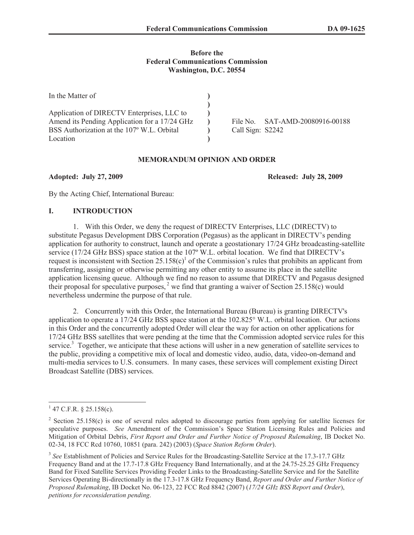## **Before the Federal Communications Commission Washington, D.C. 20554**

| In the Matter of                              |                  |                        |
|-----------------------------------------------|------------------|------------------------|
|                                               |                  |                        |
| Application of DIRECTV Enterprises, LLC to    |                  |                        |
| Amend its Pending Application for a 17/24 GHz | File No          | SAT-AMD-20080916-00188 |
| BSS Authorization at the 107° W.L. Orbital    | Call Sign: S2242 |                        |
| Location                                      |                  |                        |

# **MEMORANDUM OPINION AND ORDER**

**Adopted: July 27, 2009 Released: July 28, 2009**

By the Acting Chief, International Bureau:

## **I. INTRODUCTION**

1. With this Order, we deny the request of DIRECTV Enterprises, LLC (DIRECTV) to substitute Pegasus Development DBS Corporation (Pegasus) as the applicant in DIRECTV's pending application for authority to construct, launch and operate a geostationary 17/24 GHz broadcasting-satellite service (17/24 GHz BSS) space station at the 107º W.L. orbital location. We find that DIRECTV's request is inconsistent with Section  $25.158(c)^1$  of the Commission's rules that prohibits an applicant from transferring, assigning or otherwise permitting any other entity to assume its place in the satellite application licensing queue. Although we find no reason to assume that DIRECTV and Pegasus designed their proposal for speculative purposes,  $2$  we find that granting a waiver of Section 25.158(c) would nevertheless undermine the purpose of that rule.

2. Concurrently with this Order, the International Bureau (Bureau) is granting DIRECTV's application to operate a 17/24 GHz BSS space station at the 102.825° W.L. orbital location. Our actions in this Order and the concurrently adopted Order will clear the way for action on other applications for 17/24 GHz BSS satellites that were pending at the time that the Commission adopted service rules for this service.<sup>3</sup> Together, we anticipate that these actions will usher in a new generation of satellite services to the public, providing a competitive mix of local and domestic video, audio, data, video-on-demand and multi-media services to U.S. consumers. In many cases, these services will complement existing Direct Broadcast Satellite (DBS) services.

 $1$  47 C.F.R. § 25.158(c).

<sup>&</sup>lt;sup>2</sup> Section 25.158(c) is one of several rules adopted to discourage parties from applying for satellite licenses for speculative purposes. *See* Amendment of the Commission's Space Station Licensing Rules and Policies and Mitigation of Orbital Debris, *First Report and Order and Further Notice of Proposed Rulemaking*, IB Docket No. 02-34, 18 FCC Rcd 10760, 10851 (para. 242) (2003) (*Space Station Reform Order*).

<sup>&</sup>lt;sup>3</sup> See Establishment of Policies and Service Rules for the Broadcasting-Satellite Service at the 17.3-17.7 GHz Frequency Band and at the 17.7-17.8 GHz Frequency Band Internationally, and at the 24.75-25.25 GHz Frequency Band for Fixed Satellite Services Providing Feeder Links to the Broadcasting-Satellite Service and for the Satellite Services Operating Bi-directionally in the 17.3-17.8 GHz Frequency Band, *Report and Order and Further Notice of Proposed Rulemaking*, IB Docket No. 06-123, 22 FCC Rcd 8842 (2007) (*17/24 GHz BSS Report and Order*), *petitions for reconsideration pending*.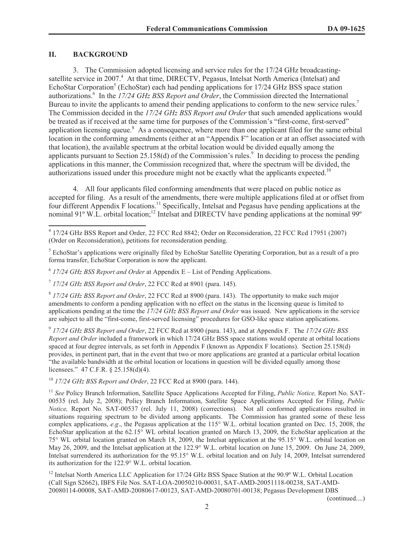# **II. BACKGROUND**

3. The Commission adopted licensing and service rules for the 17/24 GHz broadcastingsatellite service in 2007.<sup>4</sup> At that time, DIRECTV, Pegasus, Intelsat North America (Intelsat) and EchoStar Corporation<sup>5</sup> (EchoStar) each had pending applications for 17/24 GHz BSS space station authorizations.<sup>6</sup> In the *17/24 GHz BSS Report and Order*, the Commission directed the International Bureau to invite the applicants to amend their pending applications to conform to the new service rules.<sup>7</sup> The Commission decided in the *17/24 GHz BSS Report and Order* that such amended applications would be treated as if received at the same time for purposes of the Commission's "first-come, first-served" application licensing queue.<sup>8</sup> As a consequence, where more than one applicant filed for the same orbital location in the conforming amendments (either at an "Appendix F" location or at an offset associated with that location), the available spectrum at the orbital location would be divided equally among the applicants pursuant to Section 25.158(d) of the Commission's rules.<sup>9</sup> In deciding to process the pending applications in this manner, the Commission recognized that, where the spectrum will be divided, the authorizations issued under this procedure might not be exactly what the applicants expected.<sup>10</sup>

4. All four applicants filed conforming amendments that were placed on public notice as accepted for filing. As a result of the amendments, there were multiple applications filed at or offset from four different Appendix F locations.<sup>11</sup> Specifically, Intelsat and Pegasus have pending applications at the nominal 91° W.L. orbital location;<sup>12</sup> Intelsat and DIRECTV have pending applications at the nominal 99°

<sup>5</sup> EchoStar's applications were originally filed by EchoStar Satellite Operating Corporation, but as a result of a pro forma transfer, EchoStar Corporation is now the applicant.

6 *17/24 GHz BSS Report and Order* at Appendix E – List of Pending Applications.

7 *17/24 GHz BSS Report and Order*, 22 FCC Rcd at 8901 (para. 145).

8 *17/24 GHz BSS Report and Order*, 22 FCC Rcd at 8900 (para. 143). The opportunity to make such major amendments to conform a pending application with no effect on the status in the licensing queue is limited to applications pending at the time the *17/24 GHz BSS Report and Order* was issued. New applications in the service are subject to all the "first-come, first-served licensing" procedures for GSO-like space station applications.

9 *17/24 GHz BSS Report and Order*, 22 FCC Rcd at 8900 (para. 143), and at Appendix F. The *17/24 GHz BSS Report and Order* included a framework in which 17/24 GHz BSS space stations would operate at orbital locations spaced at four degree intervals, as set forth in Appendix F (known as Appendix F locations). Section 25.158(d) provides, in pertinent part, that in the event that two or more applications are granted at a particular orbital location "the available bandwidth at the orbital location or locations in question will be divided equally among those licensees." 47 C.F.R. § 25.158(d)(4).

<sup>10</sup> *17/24 GHz BSS Report and Order*, 22 FCC Rcd at 8900 (para. 144).

<sup>11</sup> See Policy Branch Information, Satellite Space Applications Accepted for Filing, *Public Notice*, Report No. SAT-00535 (rel. July 2, 2008); Policy Branch Information, Satellite Space Applications Accepted for Filing, *Public Notice,* Report No. SAT-00537 (rel. July 11, 2008) (corrections). Not all conformed applications resulted in situations requiring spectrum to be divided among applicants. The Commission has granted some of these less complex applications, *e.g*., the Pegasus application at the 115° W.L. orbital location granted on Dec. 15, 2008, the EchoStar application at the 62.15° WL orbital location granted on March 13, 2009, the EchoStar application at the 75° WL orbital location granted on March 18, 2009, the Intelsat application at the 95.15° W.L. orbital location on May 26, 2009, and the Intelsat application at the 122.9° W.L. orbital location on June 15, 2009. On June 24, 2009, Intelsat surrendered its authorization for the 95.15° W.L. orbital location and on July 14, 2009, Intelsat surrendered its authorization for the 122.9° W.L. orbital location.

<sup>12</sup> Intelsat North America LLC Application for 17/24 GHz BSS Space Station at the 90.9° W.L. Orbital Location (Call Sign S2662), IBFS File Nos. SAT-LOA-20050210-00031, SAT-AMD-20051118-00238, SAT-AMD-20080114-00008, SAT-AMD-20080617-00123, SAT-AMD-20080701-00138; Pegasus Development DBS

(continued....)

<sup>4</sup> 17/24 GHz BSS Report and Order, 22 FCC Rcd 8842; Order on Reconsideration, 22 FCC Rcd 17951 (2007) (Order on Reconsideration), petitions for reconsideration pending.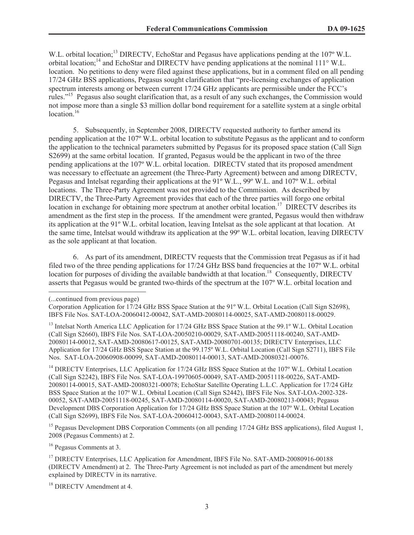W.L. orbital location;<sup>13</sup> DIRECTV, EchoStar and Pegasus have applications pending at the 107<sup>°</sup> W.L. orbital location;<sup>14</sup> and EchoStar and DIRECTV have pending applications at the nominal 111° W.L. location. No petitions to deny were filed against these applications, but in a comment filed on all pending 17/24 GHz BSS applications, Pegasus sought clarification that "pre-licensing exchanges of application spectrum interests among or between current 17/24 GHz applicants are permissible under the FCC's rules."<sup>15</sup> Pegasus also sought clarification that, as a result of any such exchanges, the Commission would not impose more than a single \$3 million dollar bond requirement for a satellite system at a single orbital location.<sup>16</sup>

5. Subsequently, in September 2008, DIRECTV requested authority to further amend its pending application at the 107º W.L. orbital location to substitute Pegasus as the applicant and to conform the application to the technical parameters submitted by Pegasus for its proposed space station (Call Sign S2699) at the same orbital location. If granted, Pegasus would be the applicant in two of the three pending applications at the 107º W.L. orbital location. DIRECTV stated that its proposed amendment was necessary to effectuate an agreement (the Three-Party Agreement) between and among DIRECTV, Pegasus and Intelsat regarding their applications at the 91º W.L., 99º W.L. and 107º W.L. orbital locations. The Three-Party Agreement was not provided to the Commission. As described by DIRECTV, the Three-Party Agreement provides that each of the three parties will forgo one orbital location in exchange for obtaining more spectrum at another orbital location.<sup>17</sup> DIRECTV describes its amendment as the first step in the process. If the amendment were granted, Pegasus would then withdraw its application at the 91º W.L. orbital location, leaving Intelsat as the sole applicant at that location. At the same time, Intelsat would withdraw its application at the 99º W.L. orbital location, leaving DIRECTV as the sole applicant at that location.

6. As part of its amendment, DIRECTV requests that the Commission treat Pegasus as if it had filed two of the three pending applications for 17/24 GHz BSS band frequencies at the 107º W.L. orbital location for purposes of dividing the available bandwidth at that location.<sup>18</sup> Consequently, DIRECTV asserts that Pegasus would be granted two-thirds of the spectrum at the 107º W.L. orbital location and

<sup>14</sup> DIRECTV Enterprises, LLC Application for 17/24 GHz BSS Space Station at the 107° W.L. Orbital Location (Call Sign S2242), IBFS File Nos. SAT-LOA-19970605-00049, SAT-AMD-20051118-00226, SAT-AMD-20080114-00015, SAT-AMD-20080321-00078; EchoStar Satellite Operating L.L.C. Application for 17/24 GHz BSS Space Station at the 107º W.L. Orbital Location (Call Sign S2442), IBFS File Nos. SAT-LOA-2002-328- 00052, SAT-AMD-20051118-00245, SAT-AMD-20080114-00020, SAT-AMD-20080213-00043; Pegasus Development DBS Corporation Application for 17/24 GHz BSS Space Station at the 107º W.L. Orbital Location (Call Sign S2699), IBFS File Nos. SAT-LOA-20060412-00043, SAT-AMD-20080114-00024.

<sup>15</sup> Pegasus Development DBS Corporation Comments (on all pending 17/24 GHz BSS applications), filed August 1, 2008 (Pegasus Comments) at 2.

<sup>16</sup> Pegasus Comments at 3.

<sup>18</sup> DIRECTV Amendment at 4.

<sup>(...</sup>continued from previous page)

Corporation Application for 17/24 GHz BSS Space Station at the 91º W.L. Orbital Location (Call Sign S2698), IBFS File Nos. SAT-LOA-20060412-00042, SAT-AMD-20080114-00025, SAT-AMD-20080118-00029.

<sup>&</sup>lt;sup>13</sup> Intelsat North America LLC Application for 17/24 GHz BSS Space Station at the 99.1° W.L. Orbital Location (Call Sign S2660), IBFS File Nos. SAT-LOA-20050210-00029, SAT-AMD-20051118-00240, SAT-AMD-20080114-00012, SAT-AMD-20080617-00125, SAT-AMD-20080701-00135; DIRECTV Enterprises, LLC Application for 17/24 GHz BSS Space Station at the 99.175º W.L. Orbital Location (Call Sign S2711), IBFS File Nos. SAT-LOA-20060908-00099, SAT-AMD-20080114-00013, SAT-AMD-20080321-00076.

<sup>&</sup>lt;sup>17</sup> DIRECTV Enterprises, LLC Application for Amendment, IBFS File No. SAT-AMD-20080916-00188 (DIRECTV Amendment) at 2. The Three-Party Agreement is not included as part of the amendment but merely explained by DIRECTV in its narrative.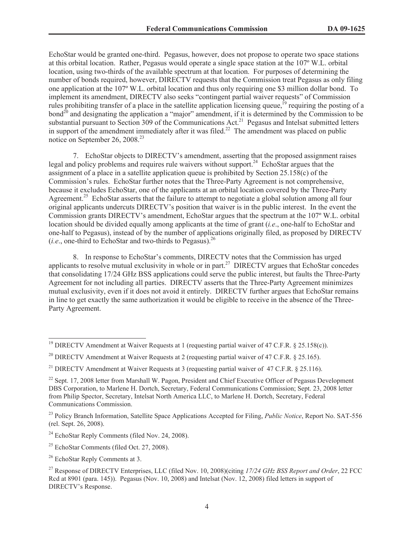EchoStar would be granted one-third. Pegasus, however, does not propose to operate two space stations at this orbital location. Rather, Pegasus would operate a single space station at the 107º W.L. orbital location, using two-thirds of the available spectrum at that location. For purposes of determining the number of bonds required, however, DIRECTV requests that the Commission treat Pegasus as only filing one application at the 107º W.L. orbital location and thus only requiring one \$3 million dollar bond. To implement its amendment, DIRECTV also seeks "contingent partial waiver requests" of Commission rules prohibiting transfer of a place in the satellite application licensing queue,<sup>19</sup> requiring the posting of a bond<sup>20</sup> and designating the application a "major" amendment, if it is determined by the Commission to be substantial pursuant to Section 309 of the Communications Act.<sup>21</sup> Pegasus and Intelsat submitted letters in support of the amendment immediately after it was filed.<sup>22</sup> The amendment was placed on public notice on September 26, 2008.<sup>23</sup>

7. EchoStar objects to DIRECTV's amendment, asserting that the proposed assignment raises legal and policy problems and requires rule waivers without support.<sup>24</sup> EchoStar argues that the assignment of a place in a satellite application queue is prohibited by Section 25.158(c) of the Commission's rules. EchoStar further notes that the Three-Party Agreement is not comprehensive, because it excludes EchoStar, one of the applicants at an orbital location covered by the Three-Party Agreement.<sup>25</sup> EchoStar asserts that the failure to attempt to negotiate a global solution among all four original applicants undercuts DIRECTV's position that waiver is in the public interest. In the event the Commission grants DIRECTV's amendment, EchoStar argues that the spectrum at the 107º W.L. orbital location should be divided equally among applicants at the time of grant (*i.e*., one-half to EchoStar and one-half to Pegasus), instead of by the number of applications originally filed, as proposed by DIRECTV (*i.e.*, one-third to EchoStar and two-thirds to Pegasus).<sup>26</sup>

8. In response to EchoStar's comments, DIRECTV notes that the Commission has urged applicants to resolve mutual exclusivity in whole or in part.<sup>27</sup> DIRECTV argues that EchoStar concedes that consolidating 17/24 GHz BSS applications could serve the public interest, but faults the Three-Party Agreement for not including all parties. DIRECTV asserts that the Three-Party Agreement minimizes mutual exclusivity, even if it does not avoid it entirely. DIRECTV further argues that EchoStar remains in line to get exactly the same authorization it would be eligible to receive in the absence of the Three-Party Agreement.

<sup>&</sup>lt;sup>19</sup> DIRECTV Amendment at Waiver Requests at 1 (requesting partial waiver of 47 C.F.R. § 25.158(c)).

<sup>&</sup>lt;sup>20</sup> DIRECTV Amendment at Waiver Requests at 2 (requesting partial waiver of 47 C.F.R. § 25.165).

<sup>&</sup>lt;sup>21</sup> DIRECTV Amendment at Waiver Requests at 3 (requesting partial waiver of 47 C.F.R. § 25.116).

<sup>&</sup>lt;sup>22</sup> Sept. 17, 2008 letter from Marshall W. Pagon, President and Chief Executive Officer of Pegasus Development DBS Corporation, to Marlene H. Dortch, Secretary, Federal Communications Commission; Sept. 23, 2008 letter from Philip Spector, Secretary, Intelsat North America LLC, to Marlene H. Dortch, Secretary, Federal Communications Commission.

<sup>23</sup> Policy Branch Information, Satellite Space Applications Accepted for Filing, *Public Notice*, Report No. SAT-556 (rel. Sept. 26, 2008).

<sup>&</sup>lt;sup>24</sup> EchoStar Reply Comments (filed Nov. 24, 2008).

 $25$  EchoStar Comments (filed Oct. 27, 2008).

<sup>26</sup> EchoStar Reply Comments at 3.

<sup>27</sup> Response of DIRECTV Enterprises, LLC (filed Nov. 10, 2008)(citing *17/24 GHz BSS Report and Order*, 22 FCC Rcd at 8901 (para. 145)). Pegasus (Nov. 10, 2008) and Intelsat (Nov. 12, 2008) filed letters in support of DIRECTV's Response.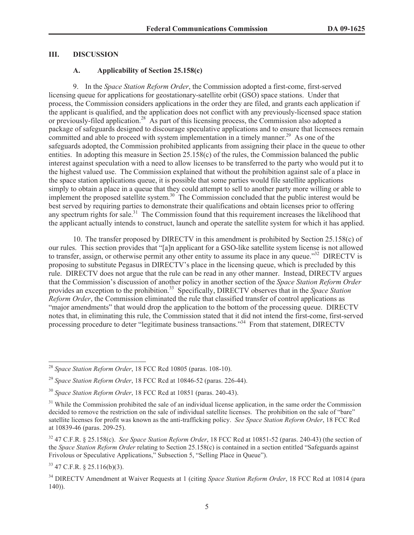#### **III. DISCUSSION**

# **A. Applicability of Section 25.158(c)**

9. In the *Space Station Reform Order*, the Commission adopted a first-come, first-served licensing queue for applications for geostationary-satellite orbit (GSO) space stations. Under that process, the Commission considers applications in the order they are filed, and grants each application if the applicant is qualified, and the application does not conflict with any previously-licensed space station or previously-filed application.<sup>28</sup> As part of this licensing process, the Commission also adopted a package of safeguards designed to discourage speculative applications and to ensure that licensees remain committed and able to proceed with system implementation in a timely manner.<sup>29</sup> As one of the safeguards adopted, the Commission prohibited applicants from assigning their place in the queue to other entities. In adopting this measure in Section 25.158(c) of the rules, the Commission balanced the public interest against speculation with a need to allow licenses to be transferred to the party who would put it to the highest valued use. The Commission explained that without the prohibition against sale of a place in the space station applications queue, it is possible that some parties would file satellite applications simply to obtain a place in a queue that they could attempt to sell to another party more willing or able to implement the proposed satellite system.<sup>30</sup> The Commission concluded that the public interest would be best served by requiring parties to demonstrate their qualifications and obtain licenses prior to offering any spectrum rights for sale.<sup>31</sup> The Commission found that this requirement increases the likelihood that the applicant actually intends to construct, launch and operate the satellite system for which it has applied.

10. The transfer proposed by DIRECTV in this amendment is prohibited by Section 25.158(c) of our rules. This section provides that "[a]n applicant for a GSO-like satellite system license is not allowed to transfer, assign, or otherwise permit any other entity to assume its place in any queue."<sup>32</sup> DIRECTV is proposing to substitute Pegasus in DIRECTV's place in the licensing queue, which is precluded by this rule. DIRECTV does not argue that the rule can be read in any other manner. Instead, DIRECTV argues that the Commission's discussion of another policy in another section of the *Space Station Reform Order* provides an exception to the prohibition.<sup>33</sup> Specifically, DIRECTV observes that in the *Space Station Reform Order*, the Commission eliminated the rule that classified transfer of control applications as "major amendments" that would drop the application to the bottom of the processing queue. DIRECTV notes that, in eliminating this rule, the Commission stated that it did not intend the first-come, first-served processing procedure to deter "legitimate business transactions."<sup>34</sup> From that statement, DIRECTV

<sup>33</sup> 47 C.F.R. § 25.116(b)(3).

<sup>28</sup> *Space Station Reform Order*, 18 FCC Rcd 10805 (paras. 108-10).

<sup>29</sup> *Space Station Reform Order*, 18 FCC Rcd at 10846-52 (paras. 226-44).

<sup>30</sup> *Space Station Reform Order*, 18 FCC Rcd at 10851 (paras. 240-43).

<sup>&</sup>lt;sup>31</sup> While the Commission prohibited the sale of an individual license application, in the same order the Commission decided to remove the restriction on the sale of individual satellite licenses. The prohibition on the sale of "bare" satellite licenses for profit was known as the anti-trafficking policy. *See Space Station Reform Order*, 18 FCC Rcd at 10839-46 (paras. 209-25).

<sup>32</sup> 47 C.F.R. § 25.158(c). *See Space Station Reform Order*, 18 FCC Rcd at 10851-52 (paras. 240-43) (the section of the *Space Station Reform Order* relating to Section 25.158(c) is contained in a section entitled "Safeguards against Frivolous or Speculative Applications," Subsection 5, "Selling Place in Queue").

<sup>34</sup> DIRECTV Amendment at Waiver Requests at 1 (citing *Space Station Reform Order*, 18 FCC Rcd at 10814 (para 140)).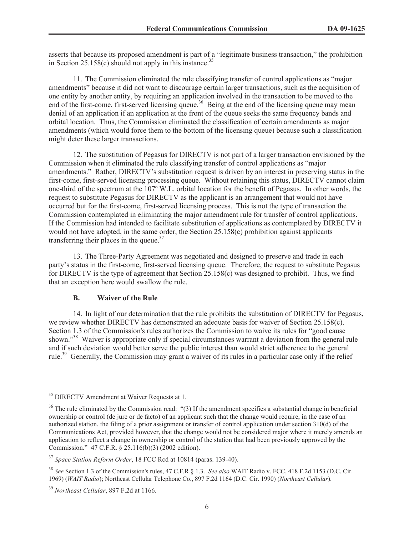asserts that because its proposed amendment is part of a "legitimate business transaction," the prohibition in Section 25.158(c) should not apply in this instance.<sup>35</sup>

11. The Commission eliminated the rule classifying transfer of control applications as "major amendments" because it did not want to discourage certain larger transactions, such as the acquisition of one entity by another entity, by requiring an application involved in the transaction to be moved to the end of the first-come, first-served licensing queue.<sup>36</sup> Being at the end of the licensing queue may mean denial of an application if an application at the front of the queue seeks the same frequency bands and orbital location. Thus, the Commission eliminated the classification of certain amendments as major amendments (which would force them to the bottom of the licensing queue) because such a classification might deter these larger transactions.

12. The substitution of Pegasus for DIRECTV is not part of a larger transaction envisioned by the Commission when it eliminated the rule classifying transfer of control applications as "major amendments." Rather, DIRECTV's substitution request is driven by an interest in preserving status in the first-come, first-served licensing processing queue. Without retaining this status, DIRECTV cannot claim one-third of the spectrum at the 107º W.L. orbital location for the benefit of Pegasus. In other words, the request to substitute Pegasus for DIRECTV as the applicant is an arrangement that would not have occurred but for the first-come, first-served licensing process. This is not the type of transaction the Commission contemplated in eliminating the major amendment rule for transfer of control applications. If the Commission had intended to facilitate substitution of applications as contemplated by DIRECTV it would not have adopted, in the same order, the Section  $25.158(c)$  prohibition against applicants transferring their places in the queue. $37$ 

13. The Three-Party Agreement was negotiated and designed to preserve and trade in each party's status in the first-come, first-served licensing queue. Therefore, the request to substitute Pegasus for DIRECTV is the type of agreement that Section 25.158(c) was designed to prohibit. Thus, we find that an exception here would swallow the rule.

#### **B. Waiver of the Rule**

14. In light of our determination that the rule prohibits the substitution of DIRECTV for Pegasus, we review whether DIRECTV has demonstrated an adequate basis for waiver of Section 25.158(c). Section 1.3 of the Commission's rules authorizes the Commission to waive its rules for "good cause shown."<sup>38</sup> Waiver is appropriate only if special circumstances warrant a deviation from the general rule and if such deviation would better serve the public interest than would strict adherence to the general rule.<sup>39</sup> Generally, the Commission may grant a waiver of its rules in a particular case only if the relief

<sup>&</sup>lt;sup>35</sup> DIRECTV Amendment at Waiver Requests at 1.

<sup>&</sup>lt;sup>36</sup> The rule eliminated by the Commission read: "(3) If the amendment specifies a substantial change in beneficial ownership or control (de jure or de facto) of an applicant such that the change would require, in the case of an authorized station, the filing of a prior assignment or transfer of control application under section 310(d) of the Communications Act, provided however, that the change would not be considered major where it merely amends an application to reflect a change in ownership or control of the station that had been previously approved by the Commission." 47 C.F.R. § 25.116(b)(3) (2002 edition).

<sup>37</sup> *Space Station Reform Order*, 18 FCC Rcd at 10814 (paras. 139-40).

<sup>38</sup> *See* Section 1.3 of the Commission's rules, 47 C.F.R § 1.3. *See also* WAIT Radio v. FCC, 418 F.2d 1153 (D.C. Cir. 1969) (*WAIT Radio*); Northeast Cellular Telephone Co., 897 F.2d 1164 (D.C. Cir. 1990) (*Northeast Cellular*).

<sup>39</sup> *Northeast Cellular*, 897 F.2d at 1166.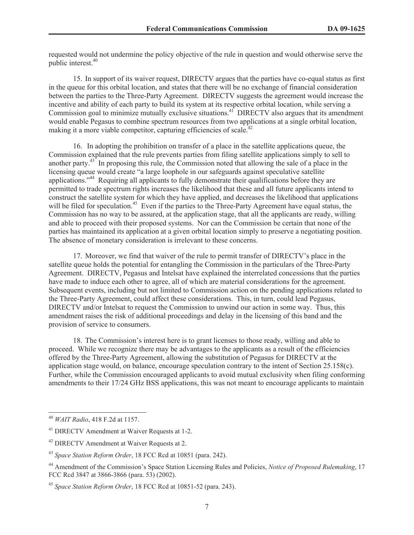requested would not undermine the policy objective of the rule in question and would otherwise serve the public interest.<sup>40</sup>

15. In support of its waiver request, DIRECTV argues that the parties have co-equal status as first in the queue for this orbital location, and states that there will be no exchange of financial consideration between the parties to the Three-Party Agreement. DIRECTV suggests the agreement would increase the incentive and ability of each party to build its system at its respective orbital location, while serving a Commission goal to minimize mutually exclusive situations.<sup>41</sup> DIRECTV also argues that its amendment would enable Pegasus to combine spectrum resources from two applications at a single orbital location, making it a more viable competitor, capturing efficiencies of scale.<sup>42</sup>

16. In adopting the prohibition on transfer of a place in the satellite applications queue, the Commission explained that the rule prevents parties from filing satellite applications simply to sell to another party.<sup>43</sup> In proposing this rule, the Commission noted that allowing the sale of a place in the licensing queue would create "a large loophole in our safeguards against speculative satellite applications."<sup>44</sup> Requiring all applicants to fully demonstrate their qualifications before they are permitted to trade spectrum rights increases the likelihood that these and all future applicants intend to construct the satellite system for which they have applied, and decreases the likelihood that applications will be filed for speculation.<sup>45</sup> Even if the parties to the Three-Party Agreement have equal status, the Commission has no way to be assured, at the application stage, that all the applicants are ready, willing and able to proceed with their proposed systems. Nor can the Commission be certain that none of the parties has maintained its application at a given orbital location simply to preserve a negotiating position. The absence of monetary consideration is irrelevant to these concerns.

17. Moreover, we find that waiver of the rule to permit transfer of DIRECTV's place in the satellite queue holds the potential for entangling the Commission in the particulars of the Three-Party Agreement. DIRECTV, Pegasus and Intelsat have explained the interrelated concessions that the parties have made to induce each other to agree, all of which are material considerations for the agreement. Subsequent events, including but not limited to Commission action on the pending applications related to the Three-Party Agreement, could affect these considerations. This, in turn, could lead Pegasus, DIRECTV and/or Intelsat to request the Commission to unwind our action in some way. Thus, this amendment raises the risk of additional proceedings and delay in the licensing of this band and the provision of service to consumers.

18. The Commission's interest here is to grant licenses to those ready, willing and able to proceed. While we recognize there may be advantages to the applicants as a result of the efficiencies offered by the Three-Party Agreement, allowing the substitution of Pegasus for DIRECTV at the application stage would, on balance, encourage speculation contrary to the intent of Section 25.158(c). Further, while the Commission encouraged applicants to avoid mutual exclusivity when filing conforming amendments to their 17/24 GHz BSS applications, this was not meant to encourage applicants to maintain

<sup>40</sup> *WAIT Radio*, 418 F.2d at 1157.

<sup>41</sup> DIRECTV Amendment at Waiver Requests at 1-2.

<sup>42</sup> DIRECTV Amendment at Waiver Requests at 2.

<sup>43</sup> *Space Station Reform Order*, 18 FCC Rcd at 10851 (para. 242).

<sup>44</sup> Amendment of the Commission's Space Station Licensing Rules and Policies, *Notice of Proposed Rulemaking*, 17 FCC Rcd 3847 at 3866-3866 (para. 53) (2002).

<sup>45</sup> *Space Station Reform Order*, 18 FCC Rcd at 10851-52 (para. 243).